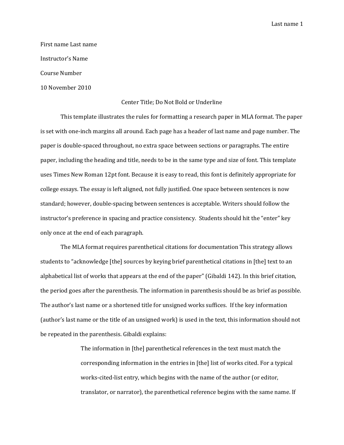Last name 1

First name Last name Instructor's Name Course Number

10 November 2010

## Center Title; Do Not Bold or Underline

 This template illustrates the rules for formatting a research paper in MLA format. The paper is set with one‐inch margins all around. Each page has a header of last name and page number. The paper is double‐spaced throughout, no extra space between sections or paragraphs. The entire paper, including the heading and title, needs to be in the same type and size of font. This template uses Times New Roman 12pt font. Because it is easy to read, this font is definitely appropriate for college essays. The essay is left aligned, not fully justified. One space between sentences is now standard; however, double‐spacing between sentences is acceptable. Writers should follow the instructor's preference in spacing and practice consistency. Students should hit the "enter" key only once at the end of each paragraph.

The MLA format requires parenthetical citations for documentation This strategy allows students to "acknowledge [the] sources by keying brief parenthetical citations in [the] text to an alphabetical list of works that appears at the end of the paper" (Gibaldi 142). In this brief citation, the period goes after the parenthesis. The information in parenthesis should be as brief as possible. The author's last name or a shortened title for unsigned works suffices. If the key information (author's last name or the title of an unsigned work) is used in the text, this information should not be repeated in the parenthesis. Gibaldi explains:

> The information in [the] parenthetical references in the text must match the corresponding information in the entries in [the] list of works cited. For a typical works‐cited‐list entry, which begins with the name of the author (or editor, translator, or narrator), the parenthetical reference begins with the same name. If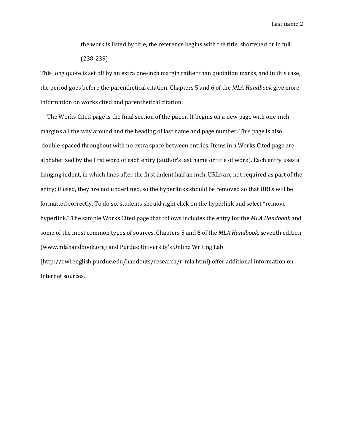Last name 2

the work is listed by title, the reference begins with the title, shortened or in full. (238‐239)

This long quote is set off by an extra one‐inch margin rather than quotation marks, and in this case, the period goes before the parenthetical citation. Chapters 5 and 6 of the *MLA Handbook* give more information on works cited and parenthetical citation.

 The Works Cited page is the final section of the paper. It begins on a new page with one‐inch margins all the way around and the heading of last name and page number. This page is also double‐spaced throughout with no extra space between entries. Items in a Works Cited page are alphabetized by the first word of each entry (author's last name or title of work). Each entry uses a hanging indent, in which lines after the first indent half an inch. URLs are not required as part of the entry; if used, they are not underlined, so the hyperlinks should be removed so that URLs will be formatted correctly. To do so, students should right click on the hyperlink and select "remove hyperlink." The sample Works Cited page that follows includes the entry for the *MLA Handbook* and some of the most common types of sources. Chapters 5 and 6 of the *MLA Handbook,* seventh edition (www.mlahandbook.org) and Purdue University's Online Writing Lab

(http://owl.english.purdue.edu/handouts/research/r\_mla.html) offer additional information on Internet sources.